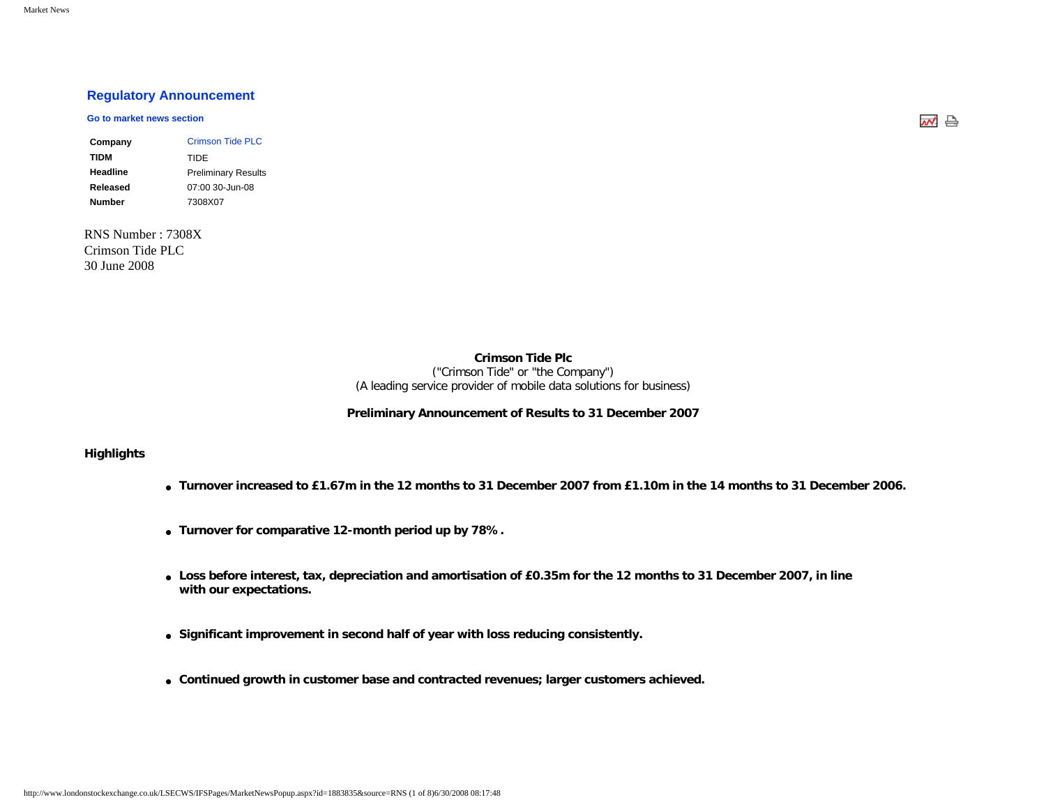# **[Regulatory Announcement](javascript: sendto()**

#### **[Go to market news section](javascript: sendto()**

| Company  | Crimson Tide PLC           |
|----------|----------------------------|
| TIDM     | TIDE                       |
| Headline | <b>Preliminary Results</b> |
| Released | 07:00 30-Jun-08            |
| Number   | 7308X07                    |

RNS Number : 7308X Crimson Tide PLC 30 June 2008

**Crimson Tide Plc**

("Crimson Tide" or "the Company") (A leading service provider of mobile data solutions for business)

#### **Preliminary Announcement of Results to 31 December 2007**

### **Highlights**

- **Turnover increased to £1.67m in the 12 months to 31 December 2007 from £1.10m in the 14 months to 31 December 2006.**
- **Turnover for comparative 12-month period up by 78%.**
- **Loss before interest, tax, depreciation and amortisation of £0.35m for the 12 months to 31 December 2007, in line with our expectations.**
- **Significant improvement in second half of year with loss reducing consistently.**
- **Continued growth in customer base and contracted revenues; larger customers achieved.**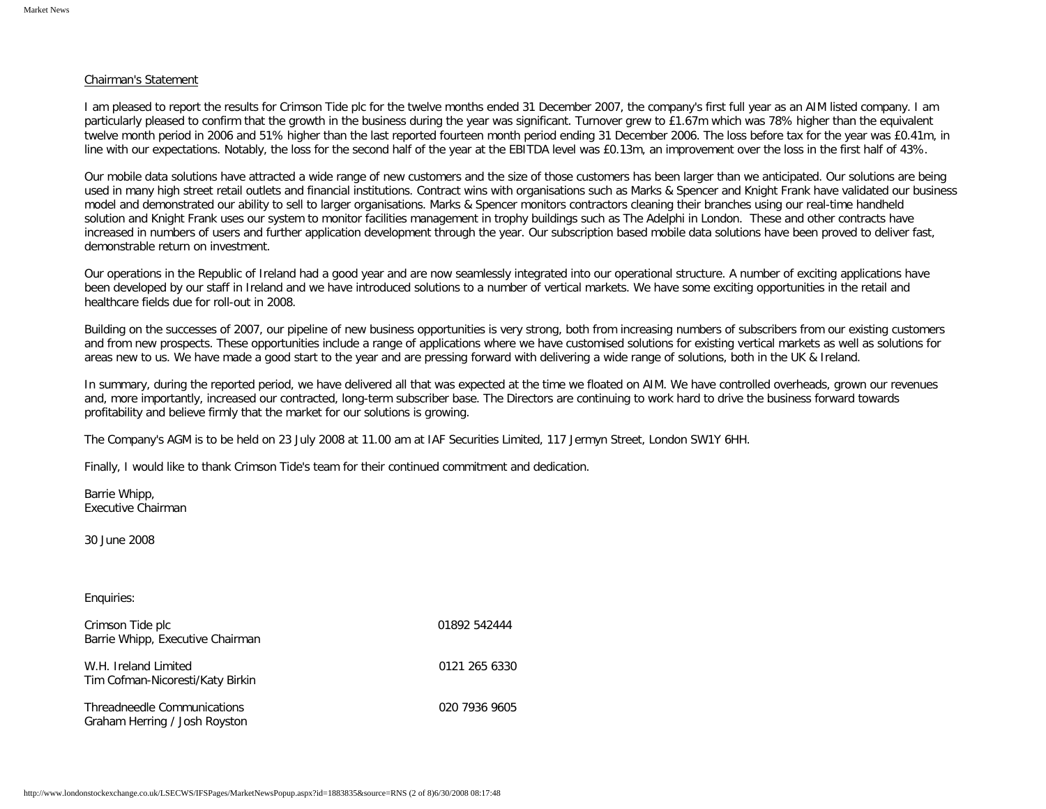#### Chairman's Statement

I am pleased to report the results for Crimson Tide plc for the twelve months ended 31 December 2007, the company's first full year as an AIM listed company. I am particularly pleased to confirm that the growth in the business during the year was significant. Turnover grew to £1.67m which was 78% higher than the equivalent twelve month period in 2006 and 51% higher than the last reported fourteen month period ending 31 December 2006. The loss before tax for the year was £0.41m, in line with our expectations. Notably, the loss for the second half of the year at the EBITDA level was £0.13m, an improvement over the loss in the first half of 43%.

Our mobile data solutions have attracted a wide range of new customers and the size of those customers has been larger than we anticipated. Our solutions are being used in many high street retail outlets and financial institutions. Contract wins with organisations such as Marks & Spencer and Knight Frank have validated our business model and demonstrated our ability to sell to larger organisations. Marks & Spencer monitors contractors cleaning their branches using our real-time handheld solution and Knight Frank uses our system to monitor facilities management in trophy buildings such as The Adelphi in London. These and other contracts have increased in numbers of users and further application development through the year. Our subscription based mobile data solutions have been proved to deliver fast, demonstrable return on investment.

Our operations in the Republic of Ireland had a good year and are now seamlessly integrated into our operational structure. A number of exciting applications have been developed by our staff in Ireland and we have introduced solutions to a number of vertical markets. We have some exciting opportunities in the retail and healthcare fields due for roll-out in 2008.

Building on the successes of 2007, our pipeline of new business opportunities is very strong, both from increasing numbers of subscribers from our existing customers and from new prospects. These opportunities include a range of applications where we have customised solutions for existing vertical markets as well as solutions for areas new to us. We have made a good start to the year and are pressing forward with delivering a wide range of solutions, both in the UK & Ireland.

In summary, during the reported period, we have delivered all that was expected at the time we floated on AIM. We have controlled overheads, grown our revenues and, more importantly, increased our contracted, long-term subscriber base. The Directors are continuing to work hard to drive the business forward towards profitability and believe firmly that the market for our solutions is growing.

The Company's AGM is to be held on 23 July 2008 at 11.00 am at IAF Securities Limited, 117 Jermyn Street, London SW1Y 6HH.

Finally, I would like to thank Crimson Tide's team for their continued commitment and dedication.

Barrie Whipp, Executive Chairman

30 June 2008

#### Enquiries:

| Crimson Tide plc<br>Barrie Whipp, Executive Chairman         | 01892 542444  |
|--------------------------------------------------------------|---------------|
| W.H. Ireland Limited<br>Tim Cofman-Nicoresti/Katy Birkin     | 0121 265 6330 |
| Threadneedle Communications<br>Graham Herring / Josh Royston | 020 7936 9605 |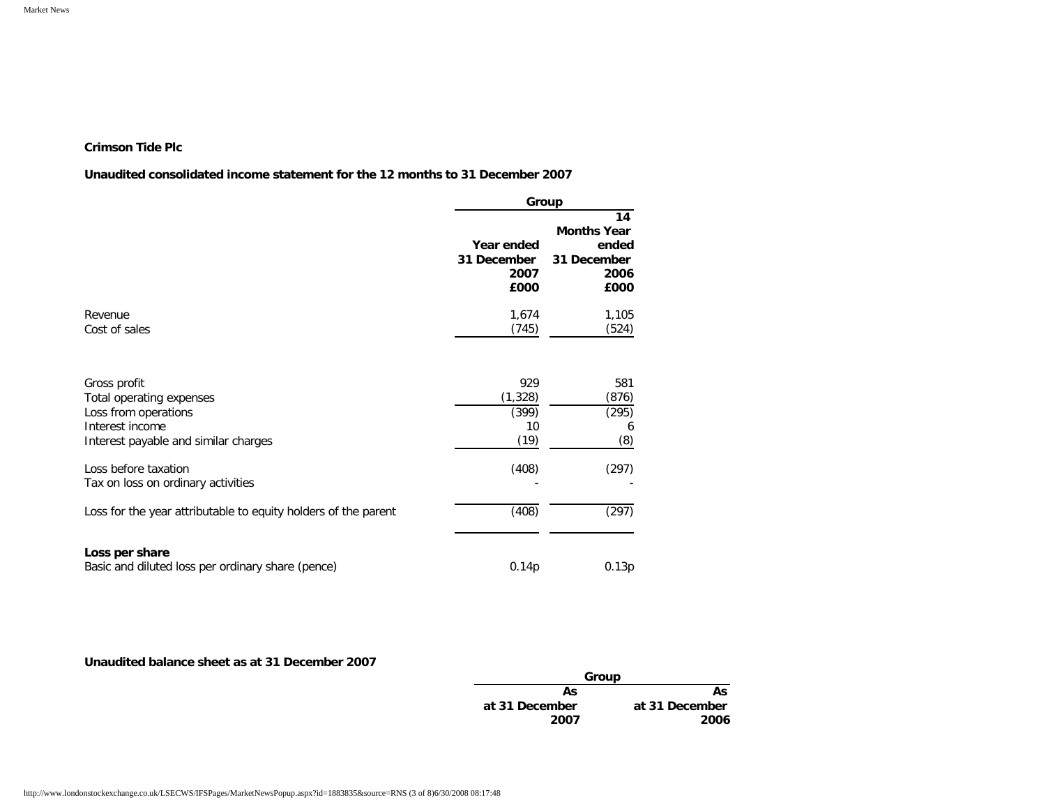# **Crimson Tide Plc**

# **Unaudited consolidated income statement for the 12 months to 31 December 2007**

|                                                                | Group                                     |                                                                  |  |
|----------------------------------------------------------------|-------------------------------------------|------------------------------------------------------------------|--|
|                                                                | Year ended<br>31 December<br>2007<br>£000 | 14<br><b>Months Year</b><br>ended<br>31 December<br>2006<br>£000 |  |
| Revenue                                                        | 1,674                                     | 1,105                                                            |  |
| Cost of sales                                                  | (745)                                     | (524)                                                            |  |
| Gross profit                                                   | 929                                       | 581                                                              |  |
| Total operating expenses                                       | (1, 328)                                  | (876)                                                            |  |
| Loss from operations                                           | (399)                                     | (295)                                                            |  |
| Interest income                                                | 10                                        | 6                                                                |  |
| Interest payable and similar charges                           | (19)                                      | (8)                                                              |  |
| Loss before taxation                                           | (408)                                     | (297)                                                            |  |
| Tax on loss on ordinary activities                             |                                           |                                                                  |  |
| Loss for the year attributable to equity holders of the parent | (408)                                     | (297)                                                            |  |
| Loss per share                                                 |                                           |                                                                  |  |
| Basic and diluted loss per ordinary share (pence)              | 0.14p                                     | 0.13p                                                            |  |

# **Unaudited balance sheet as at 31 December 2007**

| Group          |                |
|----------------|----------------|
| Αs             | As             |
| at 31 December | at 31 December |
| 2007           | 2006           |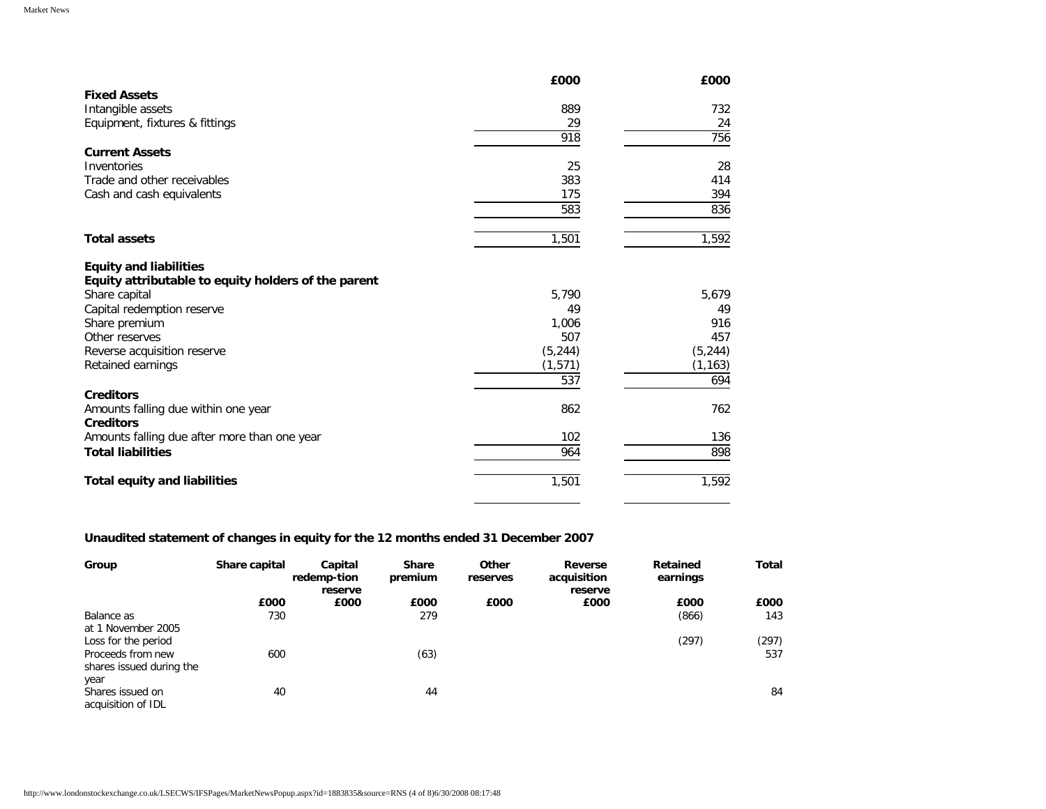|                                                         | £000     | £000     |
|---------------------------------------------------------|----------|----------|
| <b>Fixed Assets</b>                                     |          |          |
| Intangible assets                                       | 889      | 732      |
| Equipment, fixtures & fittings                          | 29       | 24       |
|                                                         | 918      | 756      |
| <b>Current Assets</b>                                   |          |          |
| Inventories                                             | 25       | 28       |
| Trade and other receivables                             | 383      | 414      |
| Cash and cash equivalents                               | 175      | 394      |
|                                                         | 583      | 836      |
| <b>Total assets</b>                                     | 1,501    | 1,592    |
| <b>Equity and liabilities</b>                           |          |          |
| Equity attributable to equity holders of the parent     |          |          |
| Share capital                                           | 5,790    | 5,679    |
| Capital redemption reserve                              | 49       | 49       |
| Share premium                                           | 1,006    | 916      |
| Other reserves                                          | 507      | 457      |
| Reverse acquisition reserve                             | (5, 244) | (5, 244) |
| Retained earnings                                       | (1, 571) | (1, 163) |
|                                                         | 537      | 694      |
| <b>Creditors</b>                                        |          |          |
| Amounts falling due within one year<br><b>Creditors</b> | 862      | 762      |
| Amounts falling due after more than one year            | 102      | 136      |
| <b>Total liabilities</b>                                | 964      | 898      |
| <b>Total equity and liabilities</b>                     | 1,501    | 1,592    |

# **Unaudited statement of changes in equity for the 12 months ended 31 December 2007**

| Group                                         | Share capital | Capital<br>redemp-tion | <b>Share</b><br>premium | Other<br>reserves | Reverse<br>acquisition | Retained<br>earnings | <b>Total</b> |
|-----------------------------------------------|---------------|------------------------|-------------------------|-------------------|------------------------|----------------------|--------------|
|                                               |               | reserve                |                         |                   | reserve                |                      |              |
|                                               | £000          | £000                   | £000                    | £000              | £000                   | £000                 | £000         |
| Balance as<br>at 1 November 2005              | 730           |                        | 279                     |                   |                        | (866)                | 143          |
| Loss for the period                           |               |                        |                         |                   |                        | (297)                | (297)        |
| Proceeds from new<br>shares issued during the | 600           |                        | (63)                    |                   |                        |                      | 537          |
| year                                          |               |                        |                         |                   |                        |                      |              |
| Shares issued on<br>acquisition of IDL        | 40            |                        | 44                      |                   |                        |                      | 84           |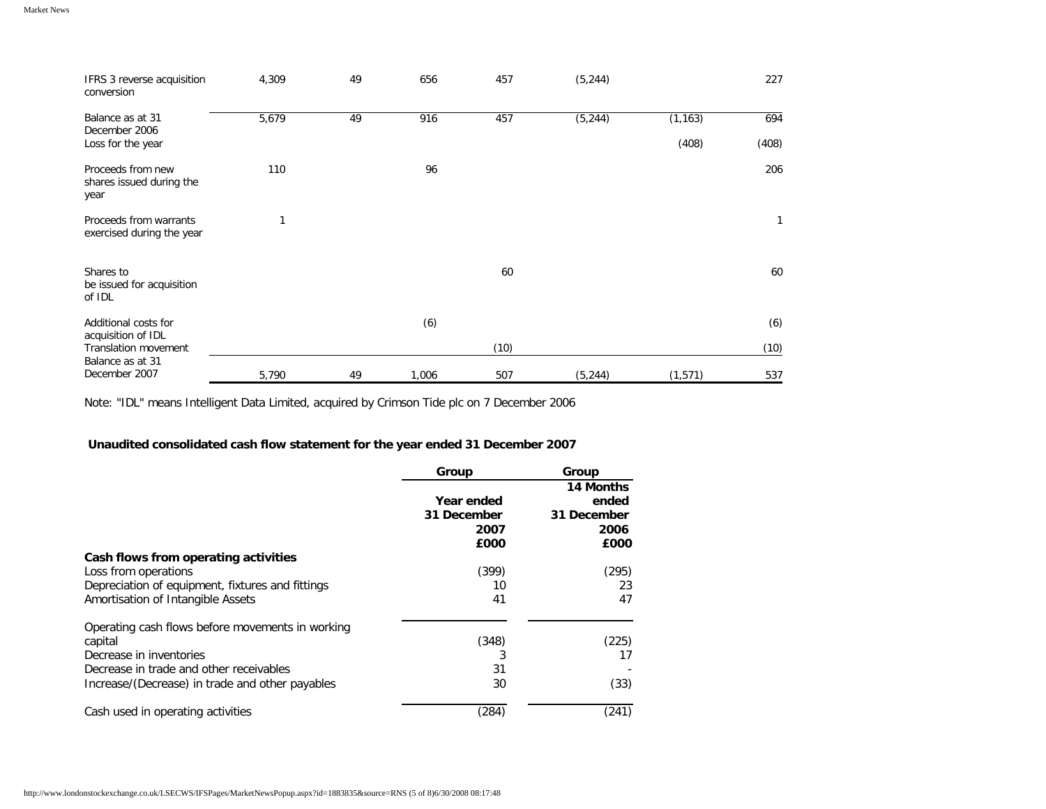| IFRS 3 reverse acquisition<br>conversion               | 4,309 | 49 | 656   | 457  | (5, 244) |                   | 227          |
|--------------------------------------------------------|-------|----|-------|------|----------|-------------------|--------------|
| Balance as at 31<br>December 2006<br>Loss for the year | 5,679 | 49 | 916   | 457  | (5, 244) | (1, 163)<br>(408) | 694<br>(408) |
| Proceeds from new<br>shares issued during the<br>year  | 110   |    | 96    |      |          |                   | 206          |
| Proceeds from warrants<br>exercised during the year    | 1     |    |       |      |          |                   | $\mathbf{1}$ |
| Shares to<br>be issued for acquisition<br>of IDL       |       |    |       | 60   |          |                   | 60           |
| Additional costs for                                   |       |    | (6)   |      |          |                   | (6)          |
| acquisition of IDL<br><b>Translation movement</b>      |       |    |       | (10) |          |                   | (10)         |
| Balance as at 31<br>December 2007                      | 5,790 | 49 | 1,006 | 507  | (5, 244) | (1,571)           | 537          |

Note: "IDL" means Intelligent Data Limited, acquired by Crimson Tide plc on 7 December 2006

# **Unaudited consolidated cash flow statement for the year ended 31 December 2007**

|                                                  | Group                                     | Group                                             |
|--------------------------------------------------|-------------------------------------------|---------------------------------------------------|
|                                                  | Year ended<br>31 December<br>2007<br>£000 | 14 Months<br>ended<br>31 December<br>2006<br>£000 |
| Cash flows from operating activities             |                                           |                                                   |
| Loss from operations                             | (399)                                     | (295)                                             |
| Depreciation of equipment, fixtures and fittings | 10                                        | 23                                                |
| Amortisation of Intangible Assets                | 41                                        | 47                                                |
| Operating cash flows before movements in working |                                           |                                                   |
| capital<br>Decrease in inventories               | (348)                                     | (225)                                             |
| Decrease in trade and other receivables          | 3<br>31                                   | 17                                                |
|                                                  | 30                                        |                                                   |
| Increase/(Decrease) in trade and other payables  |                                           | (33)                                              |
| Cash used in operating activities                | (284)                                     | (241)                                             |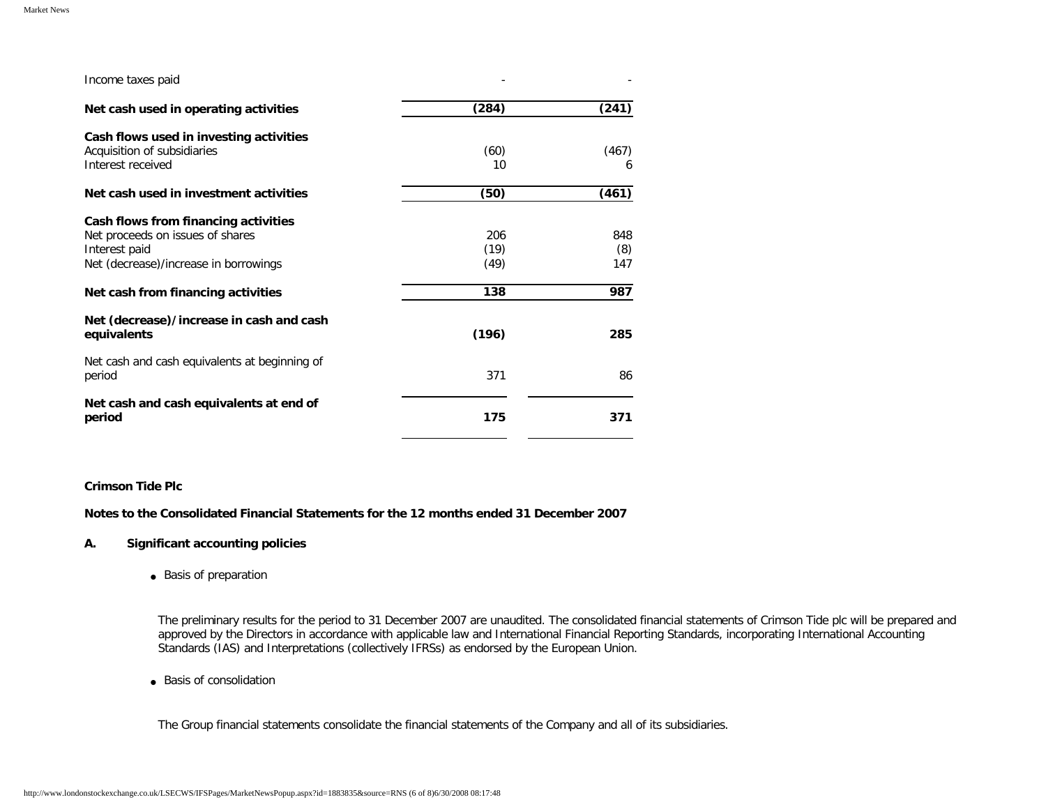| Income taxes paid                                                                                                                                                        |                            |                          |
|--------------------------------------------------------------------------------------------------------------------------------------------------------------------------|----------------------------|--------------------------|
| Net cash used in operating activities                                                                                                                                    | (284)                      | (241)                    |
| Cash flows used in investing activities<br>Acquisition of subsidiaries<br>Interest received                                                                              | (60)<br>10                 | (467)<br>6               |
| Net cash used in investment activities                                                                                                                                   | (50)                       | (461)                    |
| Cash flows from financing activities<br>Net proceeds on issues of shares<br>Interest paid<br>Net (decrease)/increase in borrowings<br>Net cash from financing activities | 206<br>(19)<br>(49)<br>138 | 848<br>(8)<br>147<br>987 |
| Net (decrease)/increase in cash and cash<br>equivalents                                                                                                                  | (196)                      | 285                      |
| Net cash and cash equivalents at beginning of<br>period                                                                                                                  | 371                        | 86                       |
| Net cash and cash equivalents at end of<br>period                                                                                                                        | 175                        | 371                      |

# **Crimson Tide Plc**

**Notes to the Consolidated Financial Statements for the 12 months ended 31 December 2007** 

# **A. Significant accounting policies**

● Basis of preparation

The preliminary results for the period to 31 December 2007 are unaudited. The consolidated financial statements of Crimson Tide plc will be prepared and approved by the Directors in accordance with applicable law and International Financial Reporting Standards, incorporating International Accounting Standards (IAS) and Interpretations (collectively IFRSs) as endorsed by the European Union.

● Basis of consolidation

The Group financial statements consolidate the financial statements of the Company and all of its subsidiaries.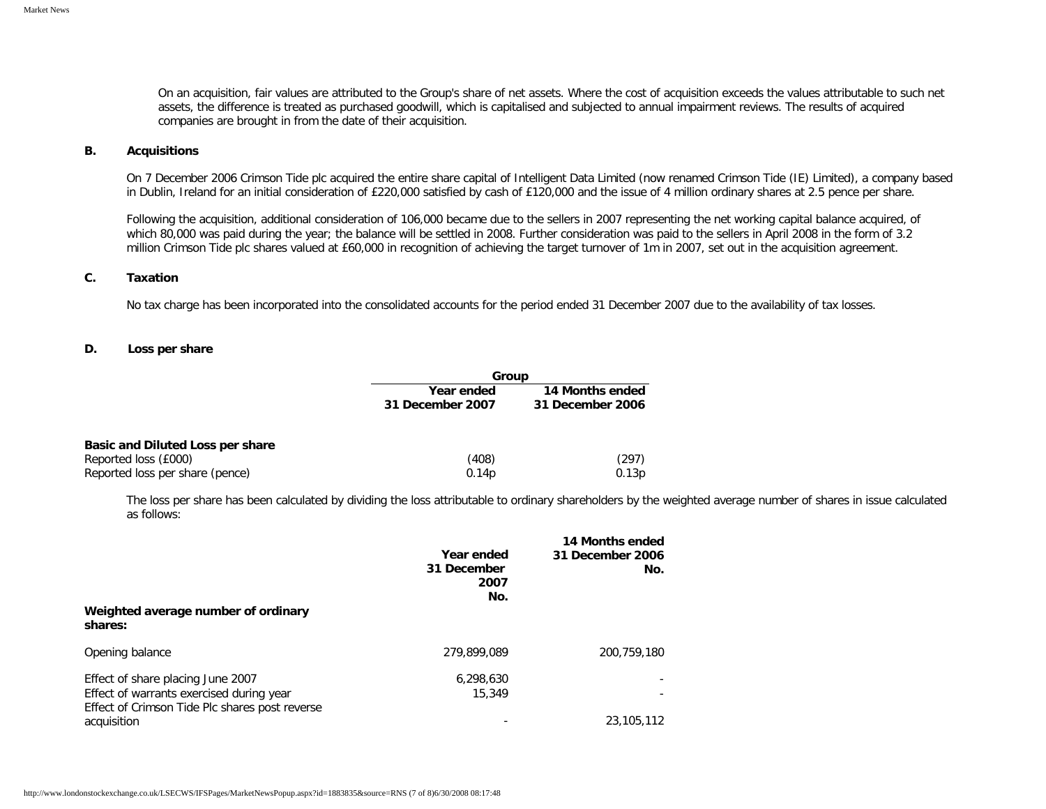On an acquisition, fair values are attributed to the Group's share of net assets. Where the cost of acquisition exceeds the values attributable to such net assets, the difference is treated as purchased goodwill, which is capitalised and subjected to annual impairment reviews. The results of acquired companies are brought in from the date of their acquisition.

#### **B. Acquisitions**

On 7 December 2006 Crimson Tide plc acquired the entire share capital of Intelligent Data Limited (now renamed Crimson Tide (IE) Limited), a company based in Dublin, Ireland for an initial consideration of £220,000 satisfied by cash of £120,000 and the issue of 4 million ordinary shares at 2.5 pence per share.

Following the acquisition, additional consideration of €106,000 became due to the sellers in 2007 representing the net working capital balance acquired, of which €80,000 was paid during the year; the balance will be settled in 2008. Further consideration was paid to the sellers in April 2008 in the form of 3.2 million Crimson Tide plc shares valued at £60,000 in recognition of achieving the target turnover of €1m in 2007, set out in the acquisition agreement.

#### **C. Taxation**

No tax charge has been incorporated into the consolidated accounts for the period ended 31 December 2007 due to the availability of tax losses.

#### **D. Loss per share**

|                                  | Group            |                  |  |
|----------------------------------|------------------|------------------|--|
|                                  | Year ended       | 14 Months ended  |  |
|                                  | 31 December 2007 | 31 December 2006 |  |
| Basic and Diluted Loss per share |                  |                  |  |
| Reported loss (£000)             | (408)            | (297)            |  |
| Reported loss per share (pence)  | 0.14p            | 0.13p            |  |

The loss per share has been calculated by dividing the loss attributable to ordinary shareholders by the weighted average number of shares in issue calculated as follows:

| Weighted average number of ordinary<br>shares:                                                                                  | Year ended<br>31 December<br>2007<br>No. | 14 Months ended<br>31 December 2006<br>No. |
|---------------------------------------------------------------------------------------------------------------------------------|------------------------------------------|--------------------------------------------|
| Opening balance                                                                                                                 | 279,899,089                              | 200.759.180                                |
| Effect of share placing June 2007<br>Effect of warrants exercised during year<br>Effect of Crimson Tide Plc shares post reverse | 6,298,630<br>15,349                      |                                            |
| acquisition                                                                                                                     |                                          | 23,105,112                                 |